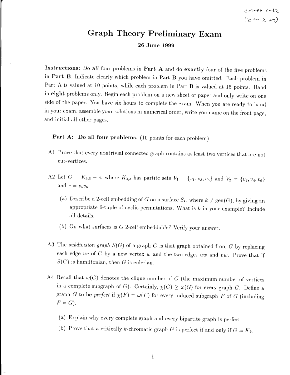$ehapp$   $t-lz$  $(\sum_{i=1}^{n} x_i \cdot 2 + \gamma)$ 

## Graph Theory Preliminary Exam

26 June 1999

Instructions: Do all four problems in Part A and do exactly four of the five problems in Part B. Indicate clearly which problem in Part B you have omitted. Each problem in Part A is valued at 10 points, while each problem in Part B is valued at 15 points. Hand in eight problems only. Begin each problem on a new sheet of paper and only write on one side of the paper. You have six hours to complete the exam. When you are ready to hand in your exam, assemble your solutions in numerical order, write you name on the front page, and initial all other pages.

Part A: Do all four problems. (10 points for each problem)

- A1 Prove that every nontrivial connected graph contains at least two vertices that are not cut-vertices.
- A2 Let  $G = K_{3,3} e$ , where  $K_{3,3}$  has partite sets  $V_1 = \{v_1, v_3, v_5\}$  and  $V_2 = \{v_2, v_4, v_6\}$ and  $e = v_5v_6$ .
	- (a) Describe a 2-cell embedding of  $G$  on a surface  $S_k,$  where  $k\neq \text{gen}(G),$  by giving an appropriate 6-tuple of cyclic permutations. What is  $k$  in your example? Include all details.
	- (b) On what surfaces is  $G$  2-cell embeddable? Verify your answer.
- A3 The subdivision graph  $S(G)$  of a graph G is that graph obtained from G by replacing each edge uv of  $G$  by a new vertex w and the two edges uw and vw. Prove that if  $S(G)$  is hamiltonian, then G is eulerian.
- A4 Recall that  $\omega(G)$  denotes the clique number of G (the maximum number of vertices in a complete subgraph of G). Certainly,  $\chi(G) \geq \omega(G)$  for every graph G. Define a graph G to be perfect if  $\chi(F) = \omega(F)$  for every induced subgraph F of G (including  $F=G$ ).
	- (a) Explain why every complete graph and every bipartite graph is perfect.
	- (b) Prove that a critically k-chromatic graph G is perfect if and only if  $G = K_k$ .